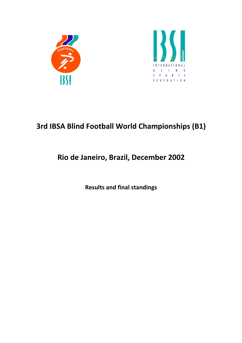



## 3rd IBSA Blind Football World Championships (B1)

## Rio de Janeiro, Brazil, December 2002

Results and final standings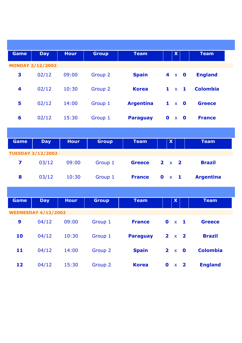| <b>Game</b>             | <b>Day</b>                 | <b>Hour</b> | <b>Group</b> | <b>Team</b>      | X                                                       | <b>Team</b>      |
|-------------------------|----------------------------|-------------|--------------|------------------|---------------------------------------------------------|------------------|
|                         | <b>MONDAY 2/12/2002</b>    |             |              |                  |                                                         |                  |
| 3                       | 02/12                      | 09:00       | Group 2      | <b>Spain</b>     | $\overline{\mathbf{4}}$<br>$x \t 0$                     | <b>England</b>   |
| 4                       | 02/12                      | 10:30       | Group 2      | <b>Korea</b>     | $\mathbf{1}$<br>$x \t1$                                 | <b>Colombia</b>  |
| 5                       | 02/12                      | 14:00       | Group 1      | <b>Argentina</b> | $\mathbf{1}$<br>$x = 0$                                 | <b>Greece</b>    |
| 6                       | 02/12                      | 15:30       | Group 1      | <b>Paraguay</b>  | $0 \times 0$                                            | <b>France</b>    |
|                         |                            |             |              |                  |                                                         |                  |
| Game                    | <b>Day</b>                 | <b>Hour</b> | <b>Group</b> | <b>Team</b>      | $\boldsymbol{\mathsf{X}}$                               | <b>Team</b>      |
|                         | <b>TUESDAY 3/12/2002</b>   |             |              |                  |                                                         |                  |
| $\overline{\mathbf{z}}$ | 03/12                      | 09:00       | Group 1      | <b>Greece</b>    | $\mathbf{2}$<br>$\overline{\mathbf{2}}$<br>$\mathbf{x}$ | <b>Brazil</b>    |
| 8                       | 03/12                      | 10:30       | Group 1      | <b>France</b>    | $\mathbf 0$<br>$\times$ 1                               | <b>Argentina</b> |
|                         |                            |             |              |                  |                                                         |                  |
| Game                    | <b>Day</b>                 | <b>Hour</b> | <b>Group</b> | <b>Team</b>      | $\mathbf{X}$                                            | <b>Team</b>      |
|                         | <b>WEDNESDAY 4/12/2002</b> |             |              |                  |                                                         |                  |
| 9                       | 04/12                      | 09:00       | Group 1      | <b>France</b>    | $\mathbf 0$<br>$x \t1$                                  | <b>Greece</b>    |
| 10                      | 04/12                      | 10:30       | Group 1      | <b>Paraguay</b>  | $2 \times 2$                                            | <b>Brazil</b>    |
| 11                      | 04/12                      | 14:00       | Group 2      | <b>Spain</b>     | $2 \times 0$                                            | <b>Colombia</b>  |
| 12                      | 04/12                      | 15:30       | Group 2      | <b>Korea</b>     | $0 \times 2$                                            | <b>England</b>   |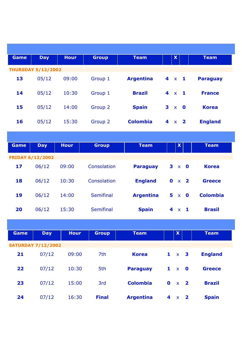| Game                      | <b>Day</b>              | <b>Hour</b> | <b>Group</b>     | <b>Team</b>      |   | $\mathbf{x}$              |                         | <b>Team</b>     |  |  |
|---------------------------|-------------------------|-------------|------------------|------------------|---|---------------------------|-------------------------|-----------------|--|--|
| <b>THURSDAY 5/12/2002</b> |                         |             |                  |                  |   |                           |                         |                 |  |  |
| 13                        | 05/12                   | 09:00       | Group 1          | <b>Argentina</b> |   | $4 \times 1$              |                         | <b>Paraguay</b> |  |  |
| 14                        | 05/12                   | 10:30       | Group 1          | <b>Brazil</b>    |   | $4 \times 1$              |                         | <b>France</b>   |  |  |
| 15                        | 05/12                   | 14:00       | Group 2          | <b>Spain</b>     | 3 | $\mathbf{x}$              | $\overline{\mathbf{0}}$ | <b>Korea</b>    |  |  |
| 16                        | 05/12                   | 15:30       | Group 2          | <b>Colombia</b>  |   | $4 \times 2$              |                         | <b>England</b>  |  |  |
|                           |                         |             |                  |                  |   |                           |                         |                 |  |  |
| Game                      | <b>Day</b>              | <b>Hour</b> | <b>Group</b>     | <b>Team</b>      |   | $\boldsymbol{\mathsf{X}}$ |                         | <b>Team</b>     |  |  |
|                           | <b>FRIDAY 6/12/2002</b> |             |                  |                  |   |                           |                         |                 |  |  |
| 17                        | 06/12                   | 09:00       | Consolation      | <b>Paraguay</b>  |   |                           | $3 \times 0$            | <b>Korea</b>    |  |  |
| 18                        | 06/12                   | 10:30       | Consolation      | <b>England</b>   |   |                           | $0 \times 2$            | <b>Greece</b>   |  |  |
| 19                        | 06/12                   | 14:00       | <b>Semifinal</b> | <b>Argentina</b> |   |                           | $5 \times 0$            | <b>Colombia</b> |  |  |
| 20                        | 06/12                   | 15:30       | Semifinal        | <b>Spain</b>     |   |                           | $4 \times 1$            | <b>Brasil</b>   |  |  |
|                           |                         |             |                  |                  |   |                           |                         |                 |  |  |
| Game                      | <b>Day</b>              | <b>Hour</b> | <b>Group</b>     | <b>Team</b>      |   | $\boldsymbol{\mathsf{X}}$ |                         | <b>Team</b>     |  |  |
| <b>SATURDAY 7/12/2002</b> |                         |             |                  |                  |   |                           |                         |                 |  |  |
| 21                        | 07/12                   | 09:00       | 7th              | <b>Korea</b>     |   |                           | $1 \times 3$            | <b>England</b>  |  |  |
| 22                        | 07/12                   | 10:30       | 5th              | <b>Paraguay</b>  |   | $1 \times$                | $\mathbf 0$             | <b>Greece</b>   |  |  |
| 23                        | 07/12                   | 15:00       | 3rd              | <b>Colombia</b>  |   |                           | $0 \times 2$            | <b>Brazil</b>   |  |  |

**24** 07/12 16:30 Final Argentina 4 x 2 Spain